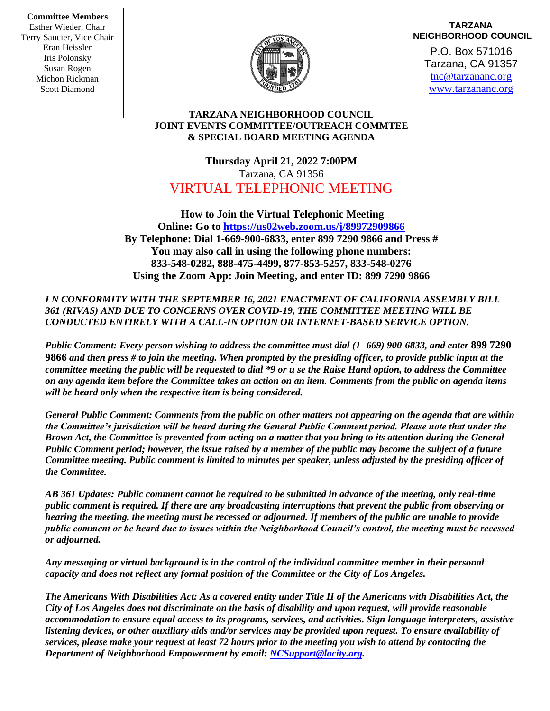**Committee Members** Esther Wieder, Chair Terry Saucier, Vice Chair Eran Heissler Iris Polonsky Susan Rogen Michon Rickman Scott Diamond



## **TARZANA NEIGHBORHOOD COUNCIL**

P.O. Box 571016 Tarzana, CA 91357 [tnc@tarzananc.org](mailto:tnc@tarzananc.org) [www.tarzananc.org](http://www.tarzananc.org/)

## **TARZANA NEIGHBORHOOD COUNCIL JOINT EVENTS COMMITTEE/OUTREACH COMMTEE & SPECIAL BOARD MEETING AGENDA**

**Thursday April 21, 2022 7:00PM** Tarzana, CA 91356 VIRTUAL TELEPHONIC MEETING

**How to Join the Virtual Telephonic Meeting Online: Go to <https://us02web.zoom.us/j/89972909866> By Telephone: Dial 1-669-900-6833, enter 899 7290 9866 and Press # You may also call in using the following phone numbers: 833-548-0282, 888-475-4499, 877-853-5257, 833-548-0276 Using the Zoom App: Join Meeting, and enter ID: 899 7290 9866**

*I N CONFORMITY WITH THE SEPTEMBER 16, 2021 ENACTMENT OF CALIFORNIA ASSEMBLY BILL 361 (RIVAS) AND DUE TO CONCERNS OVER COVID-19, THE COMMITTEE MEETING WILL BE CONDUCTED ENTIRELY WITH A CALL-IN OPTION OR INTERNET-BASED SERVICE OPTION.* 

*Public Comment: Every person wishing to address the committee must dial (1- 669) 900-6833, and enter* **899 7290 9866** *and then press # to join the meeting. When prompted by the presiding officer, to provide public input at the committee meeting the public will be requested to dial \*9 or u se the Raise Hand option, to address the Committee on any agenda item before the Committee takes an action on an item. Comments from the public on agenda items will be heard only when the respective item is being considered.*

*General Public Comment: Comments from the public on other matters not appearing on the agenda that are within the Committee's jurisdiction will be heard during the General Public Comment period. Please note that under the Brown Act, the Committee is prevented from acting on a matter that you bring to its attention during the General Public Comment period; however, the issue raised by a member of the public may become the subject of a future Committee meeting. Public comment is limited to minutes per speaker, unless adjusted by the presiding officer of the Committee.*

*AB 361 Updates: Public comment cannot be required to be submitted in advance of the meeting, only real-time public comment is required. If there are any broadcasting interruptions that prevent the public from observing or hearing the meeting, the meeting must be recessed or adjourned. If members of the public are unable to provide public comment or be heard due to issues within the Neighborhood Council's control, the meeting must be recessed or adjourned.*

*Any messaging or virtual background is in the control of the individual committee member in their personal capacity and does not reflect any formal position of the Committee or the City of Los Angeles.*

*The Americans With Disabilities Act: As a covered entity under Title II of the Americans with Disabilities Act, the City of Los Angeles does not discriminate on the basis of disability and upon request, will provide reasonable accommodation to ensure equal access to its programs, services, and activities. Sign language interpreters, assistive listening devices, or other auxiliary aids and/or services may be provided upon request. To ensure availability of services, please make your request at least 72 hours prior to the meeting you wish to attend by contacting the Department of Neighborhood Empowerment by email: [NCSupport@lacity.org.](mailto:NCSupport@lacity.org)*